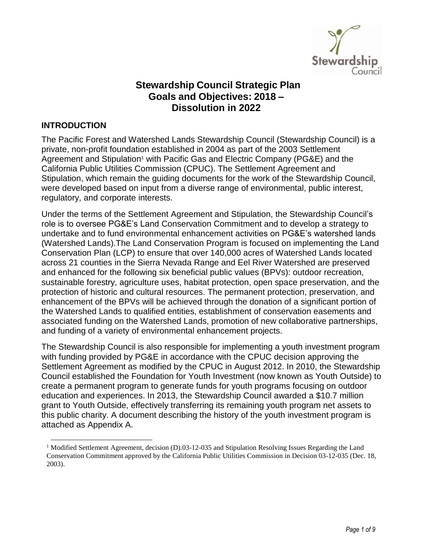

# **Stewardship Council Strategic Plan Goals and Objectives: 2018 – Dissolution in 2022**

### **INTRODUCTION**

The Pacific Forest and Watershed Lands Stewardship Council (Stewardship Council) is a private, non-profit foundation established in 2004 as part of the 2003 Settlement Agreement and Stipulation<sup>1</sup> with Pacific Gas and Electric Company (PG&E) and the California Public Utilities Commission (CPUC). The Settlement Agreement and Stipulation, which remain the guiding documents for the work of the Stewardship Council, were developed based on input from a diverse range of environmental, public interest, regulatory, and corporate interests.

Under the terms of the Settlement Agreement and Stipulation, the Stewardship Council's role is to oversee PG&E's Land Conservation Commitment and to develop a strategy to undertake and to fund environmental enhancement activities on PG&E's watershed lands (Watershed Lands).The Land Conservation Program is focused on implementing the Land Conservation Plan (LCP) to ensure that over 140,000 acres of Watershed Lands located across 21 counties in the Sierra Nevada Range and Eel River Watershed are preserved and enhanced for the following six beneficial public values (BPVs): outdoor recreation, sustainable forestry, agriculture uses, habitat protection, open space preservation, and the protection of historic and cultural resources. The permanent protection, preservation, and enhancement of the BPVs will be achieved through the donation of a significant portion of the Watershed Lands to qualified entities, establishment of conservation easements and associated funding on the Watershed Lands, promotion of new collaborative partnerships, and funding of a variety of environmental enhancement projects.

The Stewardship Council is also responsible for implementing a youth investment program with funding provided by PG&E in accordance with the CPUC decision approving the Settlement Agreement as modified by the CPUC in August 2012. In 2010, the Stewardship Council established the Foundation for Youth Investment (now known as Youth Outside) to create a permanent program to generate funds for youth programs focusing on outdoor education and experiences. In 2013, the Stewardship Council awarded a \$10.7 million grant to Youth Outside, effectively transferring its remaining youth program net assets to this public charity. A document describing the history of the youth investment program is attached as Appendix A.

<sup>&</sup>lt;sup>1</sup> Modified Settlement Agreement, decision (D).03-12-035 and Stipulation Resolving Issues Regarding the Land Conservation Commitment approved by the California Public Utilities Commission in Decision 03-12-035 (Dec. 18, 2003).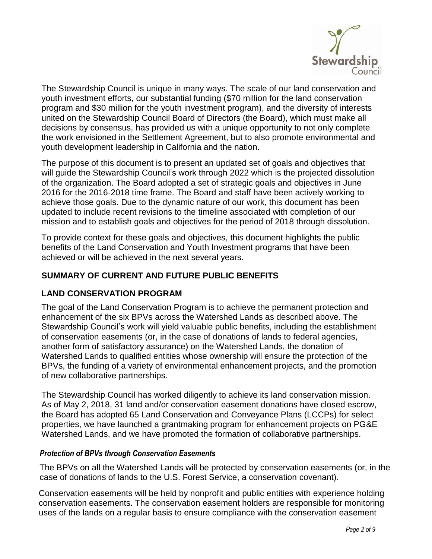

The Stewardship Council is unique in many ways. The scale of our land conservation and youth investment efforts, our substantial funding (\$70 million for the land conservation program and \$30 million for the youth investment program), and the diversity of interests united on the Stewardship Council Board of Directors (the Board), which must make all decisions by consensus, has provided us with a unique opportunity to not only complete the work envisioned in the Settlement Agreement, but to also promote environmental and youth development leadership in California and the nation.

The purpose of this document is to present an updated set of goals and objectives that will guide the Stewardship Council's work through 2022 which is the projected dissolution of the organization. The Board adopted a set of strategic goals and objectives in June 2016 for the 2016-2018 time frame. The Board and staff have been actively working to achieve those goals. Due to the dynamic nature of our work, this document has been updated to include recent revisions to the timeline associated with completion of our mission and to establish goals and objectives for the period of 2018 through dissolution.

To provide context for these goals and objectives, this document highlights the public benefits of the Land Conservation and Youth Investment programs that have been achieved or will be achieved in the next several years.

# **SUMMARY OF CURRENT AND FUTURE PUBLIC BENEFITS**

#### **LAND CONSERVATION PROGRAM**

The goal of the Land Conservation Program is to achieve the permanent protection and enhancement of the six BPVs across the Watershed Lands as described above. The Stewardship Council's work will yield valuable public benefits, including the establishment of conservation easements (or, in the case of donations of lands to federal agencies, another form of satisfactory assurance) on the Watershed Lands, the donation of Watershed Lands to qualified entities whose ownership will ensure the protection of the BPVs, the funding of a variety of environmental enhancement projects, and the promotion of new collaborative partnerships.

The Stewardship Council has worked diligently to achieve its land conservation mission. As of May 2, 2018, 31 land and/or conservation easement donations have closed escrow, the Board has adopted 65 Land Conservation and Conveyance Plans (LCCPs) for select properties, we have launched a grantmaking program for enhancement projects on PG&E Watershed Lands, and we have promoted the formation of collaborative partnerships.

#### *Protection of BPVs through Conservation Easements*

The BPVs on all the Watershed Lands will be protected by conservation easements (or, in the case of donations of lands to the U.S. Forest Service, a conservation covenant).

Conservation easements will be held by nonprofit and public entities with experience holding conservation easements. The conservation easement holders are responsible for monitoring uses of the lands on a regular basis to ensure compliance with the conservation easement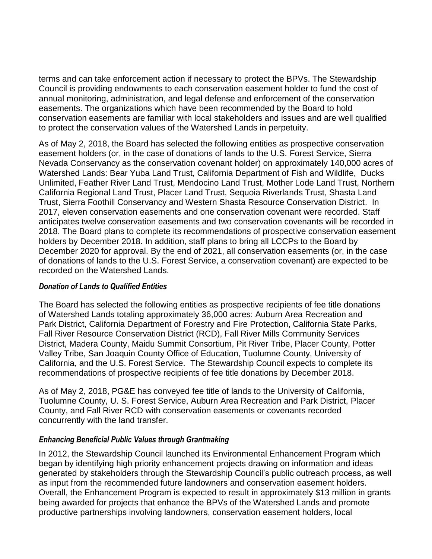terms and can take enforcement action if necessary to protect the BPVs. The Stewardship Council is providing endowments to each conservation easement holder to fund the cost of annual monitoring, administration, and legal defense and enforcement of the conservation easements. The organizations which have been recommended by the Board to hold conservation easements are familiar with local stakeholders and issues and are well qualified to protect the conservation values of the Watershed Lands in perpetuity.

As of May 2, 2018, the Board has selected the following entities as prospective conservation easement holders (or, in the case of donations of lands to the U.S. Forest Service, Sierra Nevada Conservancy as the conservation covenant holder) on approximately 140,000 acres of Watershed Lands: Bear Yuba Land Trust, California Department of Fish and Wildlife, Ducks Unlimited, Feather River Land Trust, Mendocino Land Trust, Mother Lode Land Trust, Northern California Regional Land Trust, Placer Land Trust, Sequoia Riverlands Trust, Shasta Land Trust, Sierra Foothill Conservancy and Western Shasta Resource Conservation District. In 2017, eleven conservation easements and one conservation covenant were recorded. Staff anticipates twelve conservation easements and two conservation covenants will be recorded in 2018. The Board plans to complete its recommendations of prospective conservation easement holders by December 2018. In addition, staff plans to bring all LCCPs to the Board by December 2020 for approval. By the end of 2021, all conservation easements (or, in the case of donations of lands to the U.S. Forest Service, a conservation covenant) are expected to be recorded on the Watershed Lands.

#### *Donation of Lands to Qualified Entities*

The Board has selected the following entities as prospective recipients of fee title donations of Watershed Lands totaling approximately 36,000 acres: Auburn Area Recreation and Park District, California Department of Forestry and Fire Protection, California State Parks, Fall River Resource Conservation District (RCD), Fall River Mills Community Services District, Madera County, Maidu Summit Consortium, Pit River Tribe, Placer County, Potter Valley Tribe, San Joaquin County Office of Education, Tuolumne County, University of California, and the U.S. Forest Service. The Stewardship Council expects to complete its recommendations of prospective recipients of fee title donations by December 2018.

As of May 2, 2018, PG&E has conveyed fee title of lands to the University of California, Tuolumne County, U. S. Forest Service, Auburn Area Recreation and Park District, Placer County, and Fall River RCD with conservation easements or covenants recorded concurrently with the land transfer.

# *Enhancing Beneficial Public Values through Grantmaking*

In 2012, the Stewardship Council launched its Environmental Enhancement Program which began by identifying high priority enhancement projects drawing on information and ideas generated by stakeholders through the Stewardship Council's public outreach process, as well as input from the recommended future landowners and conservation easement holders. Overall, the Enhancement Program is expected to result in approximately \$13 million in grants being awarded for projects that enhance the BPVs of the Watershed Lands and promote productive partnerships involving landowners, conservation easement holders, local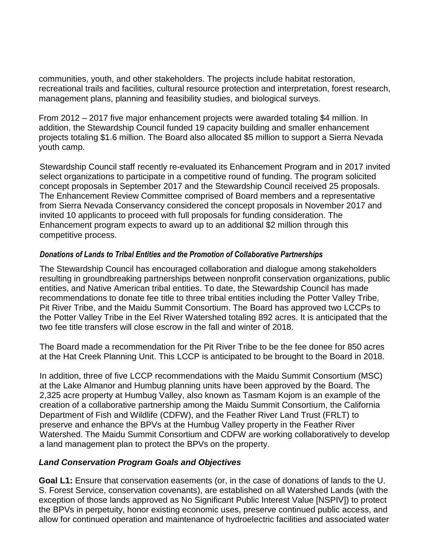communities, youth, and other stakeholders. The projects include habitat restoration, recreational trails and facilities, cultural resource protection and interpretation, forest research, management plans, planning and feasibility studies, and biological surveys.

From 2012 – 2017 five major enhancement projects were awarded totaling \$4 million. In addition, the Stewardship Council funded 19 capacity building and smaller enhancement projects totaling \$1.6 million. The Board also allocated \$5 million to support a Sierra Nevada youth camp.

Stewardship Council staff recently re-evaluated its Enhancement Program and in 2017 invited select organizations to participate in a competitive round of funding. The program solicited concept proposals in September 2017 and the Stewardship Council received 25 proposals. The Enhancement Review Committee comprised of Board members and a representative from Sierra Nevada Conservancy considered the concept proposals in November 2017 and invited 10 applicants to proceed with full proposals for funding consideration. The Enhancement program expects to award up to an additional \$2 million through this competitive process.

### *Donations of Lands to Tribal Entities and the Promotion of Collaborative Partnerships*

The Stewardship Council has encouraged collaboration and dialogue among stakeholders resulting in groundbreaking partnerships between nonprofit conservation organizations, public entities, and Native American tribal entities. To date, the Stewardship Council has made recommendations to donate fee title to three tribal entities including the Potter Valley Tribe, Pit River Tribe, and the Maidu Summit Consortium. The Board has approved two LCCPs to the Potter Valley Tribe in the Eel River Watershed totaling 892 acres. It is anticipated that the two fee title transfers will close escrow in the fall and winter of 2018.

The Board made a recommendation for the Pit River Tribe to be the fee donee for 850 acres at the Hat Creek Planning Unit. This LCCP is anticipated to be brought to the Board in 2018.

In addition, three of five LCCP recommendations with the Maidu Summit Consortium (MSC) at the Lake Almanor and Humbug planning units have been approved by the Board. The 2,325 acre property at Humbug Valley, also known as Tasmam Kojom is an example of the creation of a collaborative partnership among the Maidu Summit Consortium, the California Department of Fish and Wildlife (CDFW), and the Feather River Land Trust (FRLT) to preserve and enhance the BPVs at the Humbug Valley property in the Feather River Watershed. The Maidu Summit Consortium and CDFW are working collaboratively to develop a land management plan to protect the BPVs on the property.

# *Land Conservation Program Goals and Objectives*

**Goal L1:** Ensure that conservation easements (or, in the case of donations of lands to the U. S. Forest Service, conservation covenants), are established on all Watershed Lands (with the exception of those lands approved as No Significant Public Interest Value [NSPIV]) to protect the BPVs in perpetuity, honor existing economic uses, preserve continued public access, and allow for continued operation and maintenance of hydroelectric facilities and associated water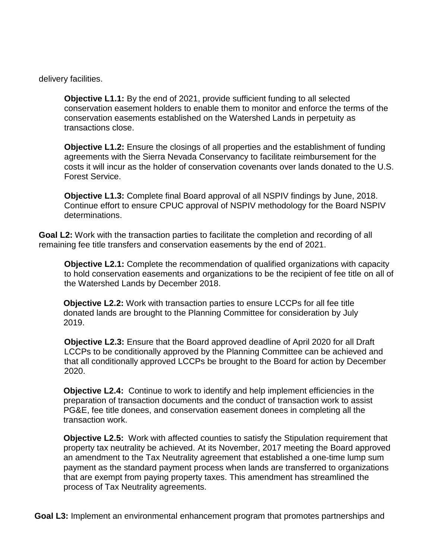delivery facilities.

**Objective L1.1:** By the end of 2021, provide sufficient funding to all selected conservation easement holders to enable them to monitor and enforce the terms of the conservation easements established on the Watershed Lands in perpetuity as transactions close.

**Objective L1.2:** Ensure the closings of all properties and the establishment of funding agreements with the Sierra Nevada Conservancy to facilitate reimbursement for the costs it will incur as the holder of conservation covenants over lands donated to the U.S. Forest Service.

**Objective L1.3:** Complete final Board approval of all NSPIV findings by June, 2018. Continue effort to ensure CPUC approval of NSPIV methodology for the Board NSPIV determinations.

**Goal L2:** Work with the transaction parties to facilitate the completion and recording of all remaining fee title transfers and conservation easements by the end of 2021.

**Objective L2.1:** Complete the recommendation of qualified organizations with capacity to hold conservation easements and organizations to be the recipient of fee title on all of the Watershed Lands by December 2018.

**Objective L2.2:** Work with transaction parties to ensure LCCPs for all fee title donated lands are brought to the Planning Committee for consideration by July 2019.

**Objective L2.3:** Ensure that the Board approved deadline of April 2020 for all Draft LCCPs to be conditionally approved by the Planning Committee can be achieved and that all conditionally approved LCCPs be brought to the Board for action by December 2020.

**Objective L2.4:** Continue to work to identify and help implement efficiencies in the preparation of transaction documents and the conduct of transaction work to assist PG&E, fee title donees, and conservation easement donees in completing all the transaction work.

**Objective L2.5:** Work with affected counties to satisfy the Stipulation requirement that property tax neutrality be achieved. At its November, 2017 meeting the Board approved an amendment to the Tax Neutrality agreement that established a one-time lump sum payment as the standard payment process when lands are transferred to organizations that are exempt from paying property taxes. This amendment has streamlined the process of Tax Neutrality agreements.

**Goal L3:** Implement an environmental enhancement program that promotes partnerships and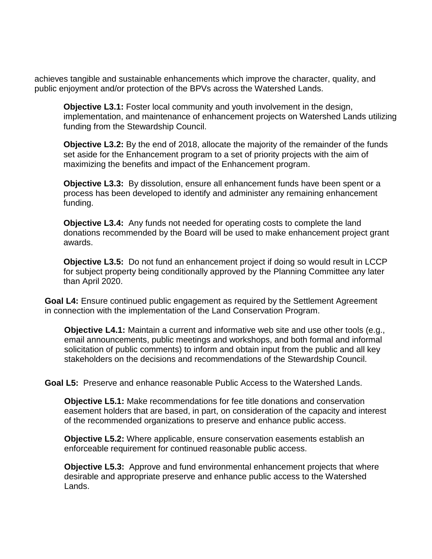achieves tangible and sustainable enhancements which improve the character, quality, and public enjoyment and/or protection of the BPVs across the Watershed Lands.

**Objective L3.1:** Foster local community and youth involvement in the design, implementation, and maintenance of enhancement projects on Watershed Lands utilizing funding from the Stewardship Council.

**Objective L3.2:** By the end of 2018, allocate the majority of the remainder of the funds set aside for the Enhancement program to a set of priority projects with the aim of maximizing the benefits and impact of the Enhancement program.

**Objective L3.3:** By dissolution, ensure all enhancement funds have been spent or a process has been developed to identify and administer any remaining enhancement funding.

**Objective L3.4:** Any funds not needed for operating costs to complete the land donations recommended by the Board will be used to make enhancement project grant awards.

**Objective L3.5:** Do not fund an enhancement project if doing so would result in LCCP for subject property being conditionally approved by the Planning Committee any later than April 2020.

**Goal L4:** Ensure continued public engagement as required by the Settlement Agreement in connection with the implementation of the Land Conservation Program.

**Objective L4.1:** Maintain a current and informative web site and use other tools (e.g., email announcements, public meetings and workshops, and both formal and informal solicitation of public comments) to inform and obtain input from the public and all key stakeholders on the decisions and recommendations of the Stewardship Council.

**Goal L5:** Preserve and enhance reasonable Public Access to the Watershed Lands.

**Objective L5.1:** Make recommendations for fee title donations and conservation easement holders that are based, in part, on consideration of the capacity and interest of the recommended organizations to preserve and enhance public access.

**Objective L5.2:** Where applicable, ensure conservation easements establish an enforceable requirement for continued reasonable public access.

**Objective L5.3:** Approve and fund environmental enhancement projects that where desirable and appropriate preserve and enhance public access to the Watershed Lands.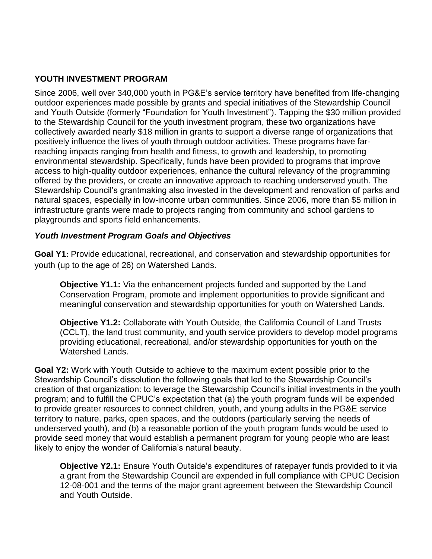# **YOUTH INVESTMENT PROGRAM**

Since 2006, well over 340,000 youth in PG&E's service territory have benefited from life-changing outdoor experiences made possible by grants and special initiatives of the Stewardship Council and Youth Outside (formerly "Foundation for Youth Investment"). Tapping the \$30 million provided to the Stewardship Council for the youth investment program, these two organizations have collectively awarded nearly \$18 million in grants to support a diverse range of organizations that positively influence the lives of youth through outdoor activities. These programs have farreaching impacts ranging from health and fitness, to growth and leadership, to promoting environmental stewardship. Specifically, funds have been provided to programs that improve access to high-quality outdoor experiences, enhance the cultural relevancy of the programming offered by the providers, or create an innovative approach to reaching underserved youth. The Stewardship Council's grantmaking also invested in the development and renovation of parks and natural spaces, especially in low-income urban communities. Since 2006, more than \$5 million in infrastructure grants were made to projects ranging from community and school gardens to playgrounds and sports field enhancements.

### *Youth Investment Program Goals and Objectives*

**Goal Y1:** Provide educational, recreational, and conservation and stewardship opportunities for youth (up to the age of 26) on Watershed Lands.

**Objective Y1.1:** Via the enhancement projects funded and supported by the Land Conservation Program, promote and implement opportunities to provide significant and meaningful conservation and stewardship opportunities for youth on Watershed Lands.

**Objective Y1.2:** Collaborate with Youth Outside, the California Council of Land Trusts (CCLT), the land trust community, and youth service providers to develop model programs providing educational, recreational, and/or stewardship opportunities for youth on the Watershed Lands.

**Goal Y2:** Work with Youth Outside to achieve to the maximum extent possible prior to the Stewardship Council's dissolution the following goals that led to the Stewardship Council's creation of that organization: to leverage the Stewardship Council's initial investments in the youth program; and to fulfill the CPUC's expectation that (a) the youth program funds will be expended to provide greater resources to connect children, youth, and young adults in the PG&E service territory to nature, parks, open spaces, and the outdoors (particularly serving the needs of underserved youth), and (b) a reasonable portion of the youth program funds would be used to provide seed money that would establish a permanent program for young people who are least likely to enjoy the wonder of California's natural beauty.

**Objective Y2.1:** Ensure Youth Outside's expenditures of ratepayer funds provided to it via a grant from the Stewardship Council are expended in full compliance with CPUC Decision 12-08-001 and the terms of the major grant agreement between the Stewardship Council and Youth Outside.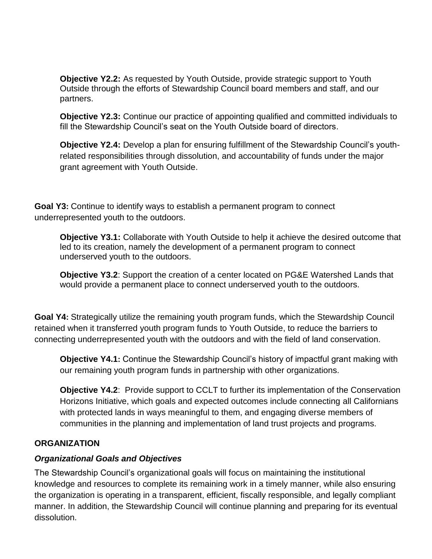**Objective Y2.2:** As requested by Youth Outside, provide strategic support to Youth Outside through the efforts of Stewardship Council board members and staff, and our partners.

**Objective Y2.3:** Continue our practice of appointing qualified and committed individuals to fill the Stewardship Council's seat on the Youth Outside board of directors.

**Objective Y2.4:** Develop a plan for ensuring fulfillment of the Stewardship Council's youthrelated responsibilities through dissolution, and accountability of funds under the major grant agreement with Youth Outside.

**Goal Y3:** Continue to identify ways to establish a permanent program to connect underrepresented youth to the outdoors.

**Objective Y3.1:** Collaborate with Youth Outside to help it achieve the desired outcome that led to its creation, namely the development of a permanent program to connect underserved youth to the outdoors.

**Objective Y3.2**: Support the creation of a center located on PG&E Watershed Lands that would provide a permanent place to connect underserved youth to the outdoors.

**Goal Y4:** Strategically utilize the remaining youth program funds, which the Stewardship Council retained when it transferred youth program funds to Youth Outside, to reduce the barriers to connecting underrepresented youth with the outdoors and with the field of land conservation.

**Objective Y4.1:** Continue the Stewardship Council's history of impactful grant making with our remaining youth program funds in partnership with other organizations.

**Objective Y4.2**: Provide support to CCLT to further its implementation of the Conservation Horizons Initiative, which goals and expected outcomes include connecting all Californians with protected lands in ways meaningful to them, and engaging diverse members of communities in the planning and implementation of land trust projects and programs.

# **ORGANIZATION**

# *Organizational Goals and Objectives*

The Stewardship Council's organizational goals will focus on maintaining the institutional knowledge and resources to complete its remaining work in a timely manner, while also ensuring the organization is operating in a transparent, efficient, fiscally responsible, and legally compliant manner. In addition, the Stewardship Council will continue planning and preparing for its eventual dissolution.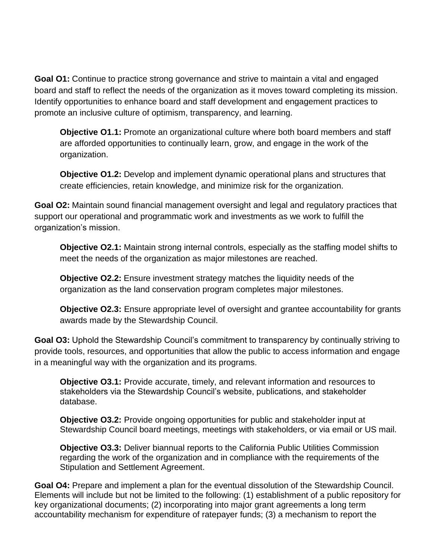**Goal O1:** Continue to practice strong governance and strive to maintain a vital and engaged board and staff to reflect the needs of the organization as it moves toward completing its mission. Identify opportunities to enhance board and staff development and engagement practices to promote an inclusive culture of optimism, transparency, and learning.

**Objective O1.1:** Promote an organizational culture where both board members and staff are afforded opportunities to continually learn, grow, and engage in the work of the organization.

**Objective O1.2:** Develop and implement dynamic operational plans and structures that create efficiencies, retain knowledge, and minimize risk for the organization.

**Goal O2:** Maintain sound financial management oversight and legal and regulatory practices that support our operational and programmatic work and investments as we work to fulfill the organization's mission.

**Objective O2.1:** Maintain strong internal controls, especially as the staffing model shifts to meet the needs of the organization as major milestones are reached.

**Objective O2.2:** Ensure investment strategy matches the liquidity needs of the organization as the land conservation program completes major milestones.

**Objective O2.3:** Ensure appropriate level of oversight and grantee accountability for grants awards made by the Stewardship Council.

**Goal O3:** Uphold the Stewardship Council's commitment to transparency by continually striving to provide tools, resources, and opportunities that allow the public to access information and engage in a meaningful way with the organization and its programs.

**Objective O3.1:** Provide accurate, timely, and relevant information and resources to stakeholders via the Stewardship Council's website, publications, and stakeholder database.

**Objective O3.2:** Provide ongoing opportunities for public and stakeholder input at Stewardship Council board meetings, meetings with stakeholders, or via email or US mail.

**Objective O3.3:** Deliver biannual reports to the California Public Utilities Commission regarding the work of the organization and in compliance with the requirements of the Stipulation and Settlement Agreement.

**Goal O4:** Prepare and implement a plan for the eventual dissolution of the Stewardship Council. Elements will include but not be limited to the following: (1) establishment of a public repository for key organizational documents; (2) incorporating into major grant agreements a long term accountability mechanism for expenditure of ratepayer funds; (3) a mechanism to report the